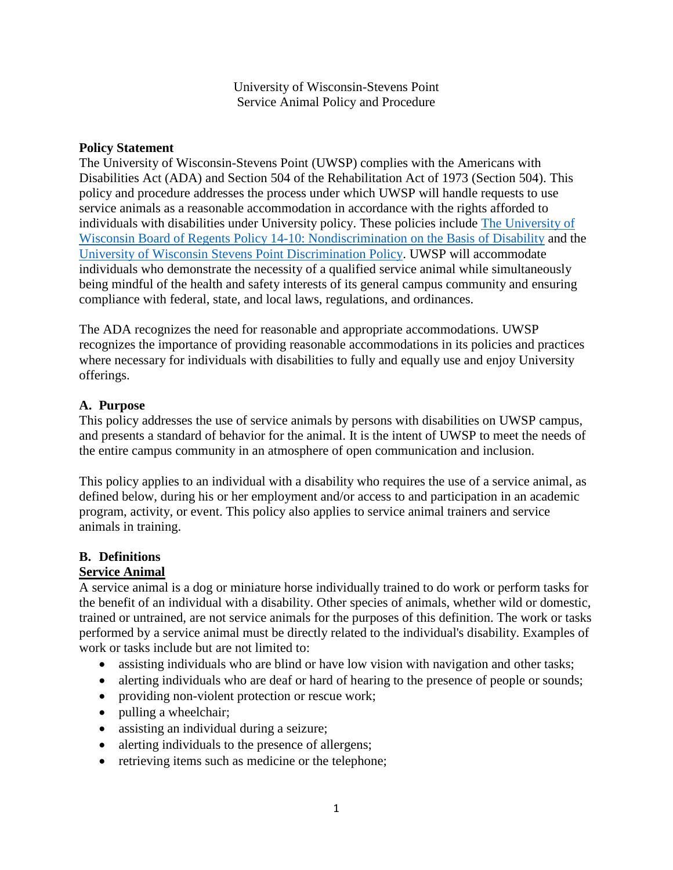University of Wisconsin-Stevens Point Service Animal Policy and Procedure

#### **Policy Statement**

The University of Wisconsin-Stevens Point (UWSP) complies with the Americans with Disabilities Act (ADA) and Section 504 of the Rehabilitation Act of 1973 (Section 504). This policy and procedure addresses the process under which UWSP will handle requests to use service animals as a reasonable accommodation in accordance with the rights afforded to individuals with disabilities under University policy. These policies include [The University of](https://www.wisconsin.edu/regents/policies/discrimination-prohibited/)  Wisconsin Board of Regents Policy 14-10: [Nondiscrimination on the Basis of Disability](https://www.wisconsin.edu/regents/policies/discrimination-prohibited/) and the [University of Wisconsin Stevens Point Discrimination Policy.](http://www.uwsp.edu/hr/Documents/Site%20Documents/Affirmative%20Action/Discrimination%20Policy.pdf) UWSP will accommodate individuals who demonstrate the necessity of a qualified service animal while simultaneously being mindful of the health and safety interests of its general campus community and ensuring compliance with federal, state, and local laws, regulations, and ordinances.

The ADA recognizes the need for reasonable and appropriate accommodations. UWSP recognizes the importance of providing reasonable accommodations in its policies and practices where necessary for individuals with disabilities to fully and equally use and enjoy University offerings.

#### **A. Purpose**

This policy addresses the use of service animals by persons with disabilities on UWSP campus, and presents a standard of behavior for the animal. It is the intent of UWSP to meet the needs of the entire campus community in an atmosphere of open communication and inclusion.

This policy applies to an individual with a disability who requires the use of a service animal, as defined below, during his or her employment and/or access to and participation in an academic program, activity, or event. This policy also applies to service animal trainers and service animals in training.

#### **B. Definitions**

#### **Service Animal**

A service animal is a dog or miniature horse individually trained to do work or perform tasks for the benefit of an individual with a disability. Other species of animals, whether wild or domestic, trained or untrained, are not service animals for the purposes of this definition. The work or tasks performed by a service animal must be directly related to the individual's disability. Examples of work or tasks include but are not limited to:

- assisting individuals who are blind or have low vision with navigation and other tasks;
- alerting individuals who are deaf or hard of hearing to the presence of people or sounds;
- providing non-violent protection or rescue work;
- pulling a wheelchair;
- assisting an individual during a seizure;
- alerting individuals to the presence of allergens;
- retrieving items such as medicine or the telephone;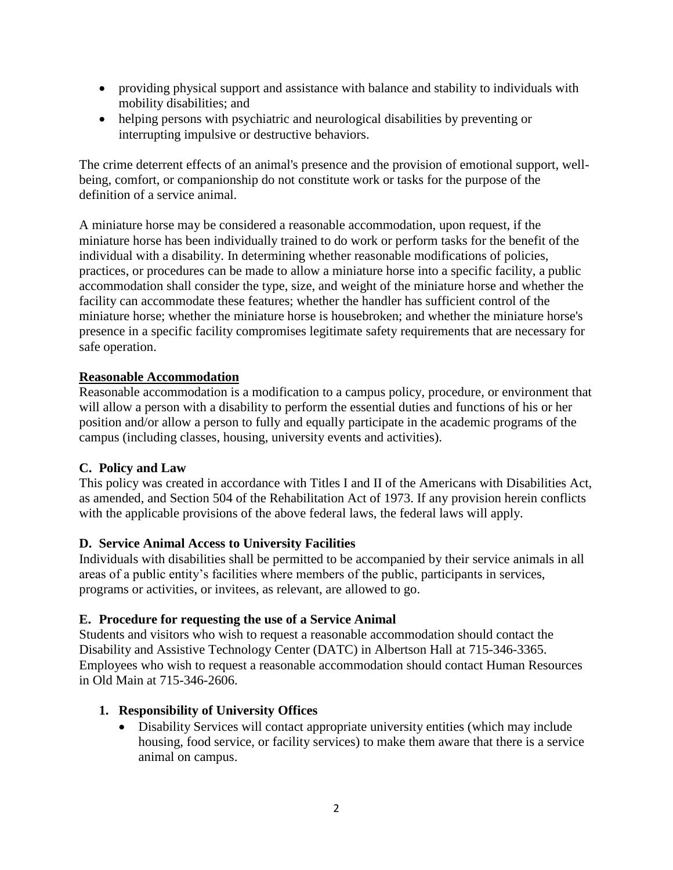- providing physical support and assistance with balance and stability to individuals with mobility disabilities; and
- helping persons with psychiatric and neurological disabilities by preventing or interrupting impulsive or destructive behaviors.

The crime deterrent effects of an animal's presence and the provision of emotional support, wellbeing, comfort, or companionship do not constitute work or tasks for the purpose of the definition of a service animal.

A miniature horse may be considered a reasonable accommodation, upon request, if the miniature horse has been individually trained to do work or perform tasks for the benefit of the individual with a disability. In determining whether reasonable modifications of policies, practices, or procedures can be made to allow a miniature horse into a specific facility, a public accommodation shall consider the type, size, and weight of the miniature horse and whether the facility can accommodate these features; whether the handler has sufficient control of the miniature horse; whether the miniature horse is housebroken; and whether the miniature horse's presence in a specific facility compromises legitimate safety requirements that are necessary for safe operation.

## **Reasonable Accommodation**

Reasonable accommodation is a modification to a campus policy, procedure, or environment that will allow a person with a disability to perform the essential duties and functions of his or her position and/or allow a person to fully and equally participate in the academic programs of the campus (including classes, housing, university events and activities).

### **C. Policy and Law**

This policy was created in accordance with Titles I and II of the Americans with Disabilities Act, as amended, and Section 504 of the Rehabilitation Act of 1973. If any provision herein conflicts with the applicable provisions of the above federal laws, the federal laws will apply.

### **D. Service Animal Access to University Facilities**

Individuals with disabilities shall be permitted to be accompanied by their service animals in all areas of a public entity's facilities where members of the public, participants in services, programs or activities, or invitees, as relevant, are allowed to go.

### **E. Procedure for requesting the use of a Service Animal**

Students and visitors who wish to request a reasonable accommodation should contact the Disability and Assistive Technology Center (DATC) in Albertson Hall at 715-346-3365. Employees who wish to request a reasonable accommodation should contact Human Resources in Old Main at 715-346-2606.

### **1. Responsibility of University Offices**

• Disability Services will contact appropriate university entities (which may include housing, food service, or facility services) to make them aware that there is a service animal on campus.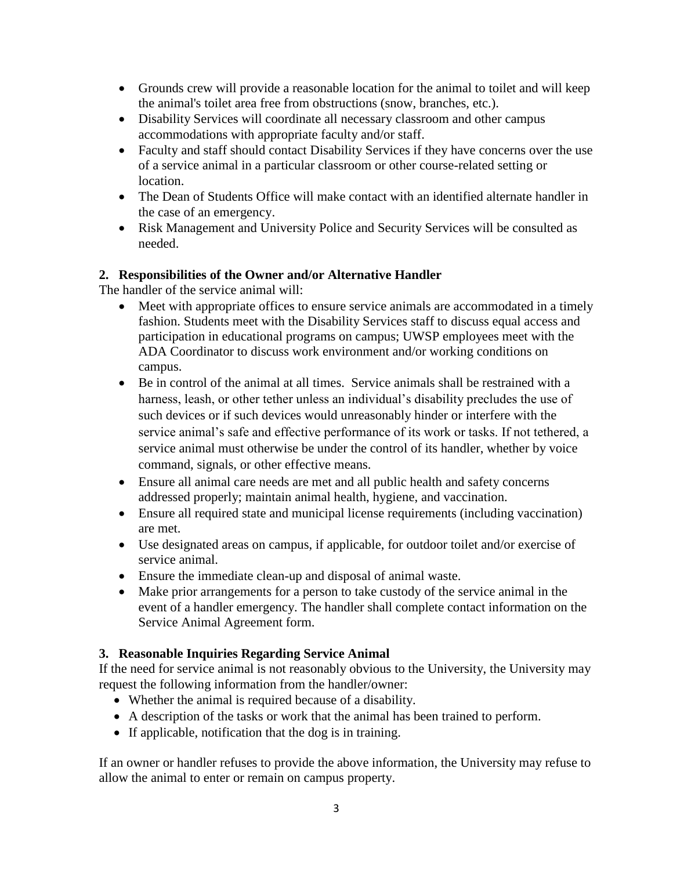- Grounds crew will provide a reasonable location for the animal to toilet and will keep the animal's toilet area free from obstructions (snow, branches, etc.).
- Disability Services will coordinate all necessary classroom and other campus accommodations with appropriate faculty and/or staff.
- Faculty and staff should contact Disability Services if they have concerns over the use of a service animal in a particular classroom or other course-related setting or location.
- The Dean of Students Office will make contact with an identified alternate handler in the case of an emergency.
- Risk Management and University Police and Security Services will be consulted as needed.

## **2. Responsibilities of the Owner and/or Alternative Handler**

The handler of the service animal will:

- Meet with appropriate offices to ensure service animals are accommodated in a timely fashion. Students meet with the Disability Services staff to discuss equal access and participation in educational programs on campus; UWSP employees meet with the ADA Coordinator to discuss work environment and/or working conditions on campus.
- Be in control of the animal at all times. Service animals shall be restrained with a harness, leash, or other tether unless an individual's disability precludes the use of such devices or if such devices would unreasonably hinder or interfere with the service animal's safe and effective performance of its work or tasks. If not tethered, a service animal must otherwise be under the control of its handler, whether by voice command, signals, or other effective means.
- Ensure all animal care needs are met and all public health and safety concerns addressed properly; maintain animal health, hygiene, and vaccination.
- Ensure all required state and municipal license requirements (including vaccination) are met.
- Use designated areas on campus, if applicable, for outdoor toilet and/or exercise of service animal.
- Ensure the immediate clean-up and disposal of animal waste.
- Make prior arrangements for a person to take custody of the service animal in the event of a handler emergency. The handler shall complete contact information on the Service Animal Agreement form.

## **3. Reasonable Inquiries Regarding Service Animal**

If the need for service animal is not reasonably obvious to the University, the University may request the following information from the handler/owner:

- Whether the animal is required because of a disability.
- A description of the tasks or work that the animal has been trained to perform.
- If applicable, notification that the dog is in training.

If an owner or handler refuses to provide the above information, the University may refuse to allow the animal to enter or remain on campus property.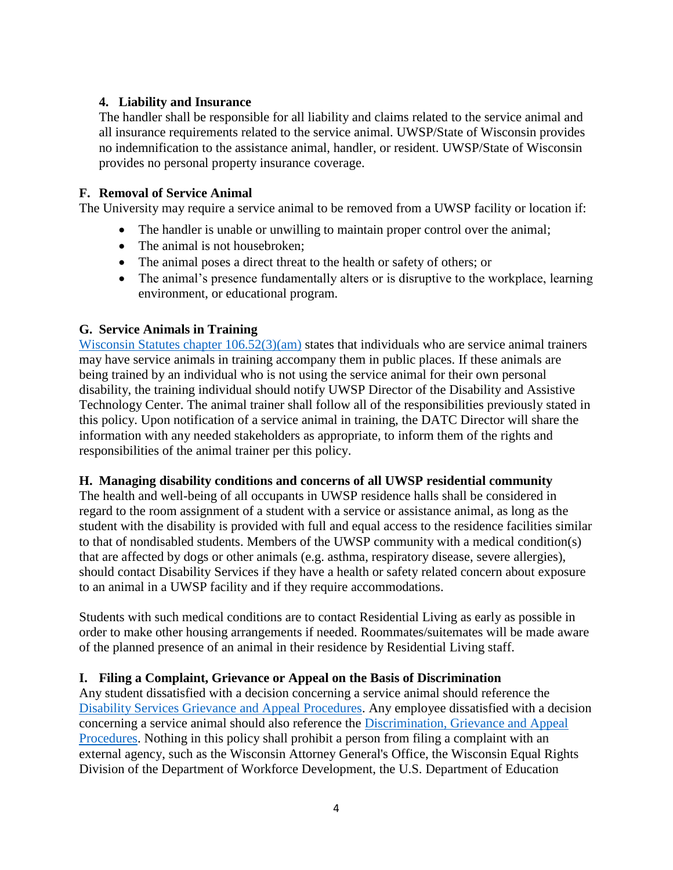## **4. Liability and Insurance**

The handler shall be responsible for all liability and claims related to the service animal and all insurance requirements related to the service animal. UWSP/State of Wisconsin provides no indemnification to the assistance animal, handler, or resident. UWSP/State of Wisconsin provides no personal property insurance coverage.

### **F. Removal of Service Animal**

The University may require a service animal to be removed from a UWSP facility or location if:

- The handler is unable or unwilling to maintain proper control over the animal;
- The animal is not housebroken;
- The animal poses a direct threat to the health or safety of others; or
- The animal's presence fundamentally alters or is disruptive to the workplace, learning environment, or educational program.

### **G. Service Animals in Training**

[Wisconsin Statutes chapter 106.52\(](https://docs.legis.wisconsin.gov/statutes/statutes/106/III/52)3)(am) states that individuals who are service animal trainers may have service animals in training accompany them in public places. If these animals are being trained by an individual who is not using the service animal for their own personal disability, the training individual should notify UWSP Director of the Disability and Assistive Technology Center. The animal trainer shall follow all of the responsibilities previously stated in this policy. Upon notification of a service animal in training, the DATC Director will share the information with any needed stakeholders as appropriate, to inform them of the rights and responsibilities of the animal trainer per this policy.

### **H. Managing disability conditions and concerns of all UWSP residential community**

The health and well-being of all occupants in UWSP residence halls shall be considered in regard to the room assignment of a student with a service or assistance animal, as long as the student with the disability is provided with full and equal access to the residence facilities similar to that of nondisabled students. Members of the UWSP community with a medical condition(s) that are affected by dogs or other animals (e.g. asthma, respiratory disease, severe allergies), should contact Disability Services if they have a health or safety related concern about exposure to an animal in a UWSP facility and if they require accommodations.

Students with such medical conditions are to contact Residential Living as early as possible in order to make other housing arrangements if needed. Roommates/suitemates will be made aware of the planned presence of an animal in their residence by Residential Living staff.

## **I. Filing a Complaint, Grievance or Appeal on the Basis of Discrimination**

Any student dissatisfied with a decision concerning a service animal should reference the [Disability Services Grievance and Appeal Procedures.](https://www.uwsp.edu/disability/Pages/Student%20Resources/grievanceProcedure.aspx) Any employee dissatisfied with a decision concerning a service animal should also reference the [Discrimination, Grievance and Appeal](http://www.uwsp.edu/hr/Documents/Discrimination%20Policy.pdf)  [Procedures.](http://www.uwsp.edu/hr/Documents/Discrimination%20Policy.pdf) Nothing in this policy shall prohibit a person from filing a complaint with an external agency, such as the Wisconsin Attorney General's Office, the Wisconsin Equal Rights Division of the Department of Workforce Development, the U.S. Department of Education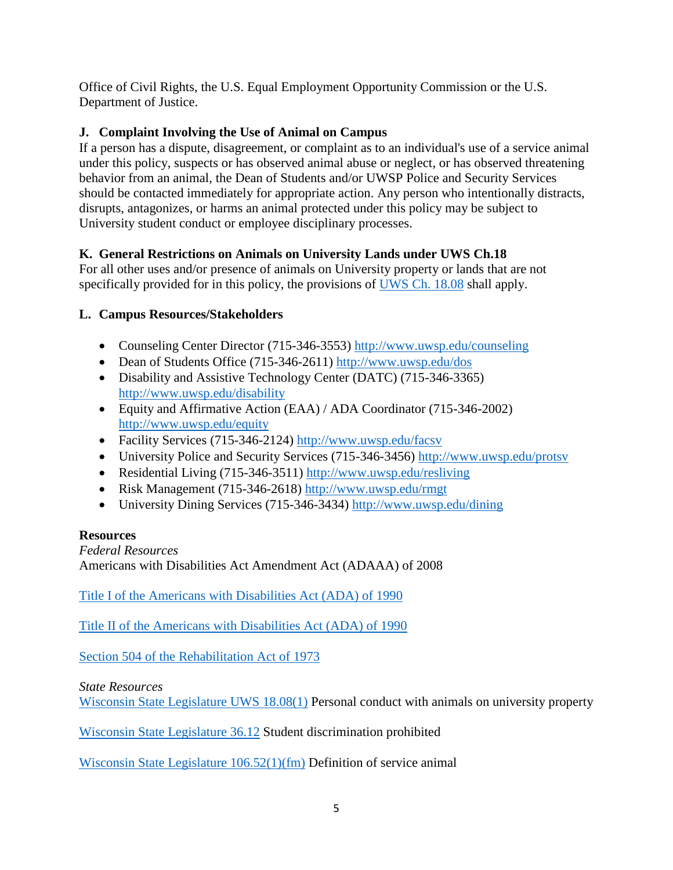Office of Civil Rights, the U.S. Equal Employment Opportunity Commission or the U.S. Department of Justice.

# **J. Complaint Involving the Use of Animal on Campus**

If a person has a dispute, disagreement, or complaint as to an individual's use of a service animal under this policy, suspects or has observed animal abuse or neglect, or has observed threatening behavior from an animal, the Dean of Students and/or UWSP Police and Security Services should be contacted immediately for appropriate action. Any person who intentionally distracts, disrupts, antagonizes, or harms an animal protected under this policy may be subject to University student conduct or employee disciplinary processes.

# **K. General Restrictions on Animals on University Lands under UWS Ch.18**

For all other uses and/or presence of animals on University property or lands that are not specifically provided for in this policy, the provisions of [UWS Ch. 18.08](https://docs.legis.wisconsin.gov/code/admin_code/uws/18/08) shall apply.

# **L. Campus Resources/Stakeholders**

- Counseling Center Director (715-346-3553)<http://www.uwsp.edu/counseling>
- Dean of Students Office (715-346-2611)<http://www.uwsp.edu/dos>
- Disability and Assistive Technology Center (DATC) (715-346-3365) <http://www.uwsp.edu/disability>
- Equity and Affirmative Action (EAA) / ADA Coordinator (715-346-2002) <http://www.uwsp.edu/equity>
- Facility Services (715-346-2124)<http://www.uwsp.edu/facsv>
- University Police and Security Services (715-346-3456)<http://www.uwsp.edu/protsv>
- Residential Living (715-346-3511)<http://www.uwsp.edu/resliving>
- Risk Management (715-346-2618)<http://www.uwsp.edu/rmgt>
- University Dining Services (715-346-3434)<http://www.uwsp.edu/dining>

## **Resources**

*Federal Resources* Americans with Disabilities Act Amendment Act (ADAAA) of 2008

Title I of the Americans with [Disabilities Act \(ADA\) of 1990](https://www.ada.gov/ada_title_I.htm)

Title II of the Americans with [Disabilities Act \(ADA\) of 1990](https://www.ada.gov/ada_title_II.htm)

[Section 504 of the Rehabilitation Act of 1973](https://www.dol.gov/oasam/regs/statutes/sec504.htm)

## *State Resources*

[Wisconsin State Legislature UWS 18.08\(1\)](https://docs.legis.wisconsin.gov/code/admin_code/uws/18/08) Personal conduct with animals on university property

[Wisconsin State Legislature 36.12](https://docs.legis.wisconsin.gov/statutes/statutes/36/12) Student discrimination prohibited

[Wisconsin State Legislature 106.52\(1\)\(fm\)](https://docs.legis.wisconsin.gov/statutes/statutes/106/III/52) Definition of service animal